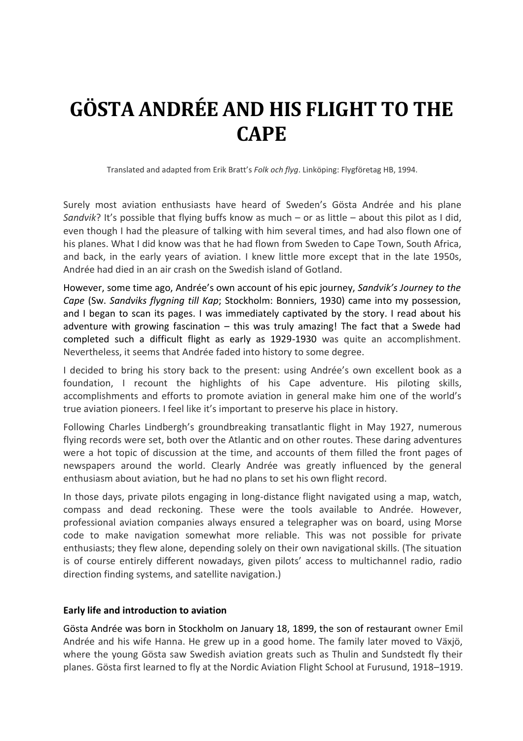# **GÖSTA ANDRÉE AND HIS FLIGHT TO THE CAPE**

Translated and adapted from Erik Bratt's *Folk och flyg*. Linköping: Flygföretag HB, 1994.

Surely most aviation enthusiasts have heard of Sweden's Gösta Andrée and his plane *Sandvik*? It's possible that flying buffs know as much – or as little – about this pilot as I did, even though I had the pleasure of talking with him several times, and had also flown one of his planes. What I did know was that he had flown from Sweden to Cape Town, South Africa, and back, in the early years of aviation. I knew little more except that in the late 1950s, Andrée had died in an air crash on the Swedish island of Gotland.

However, some time ago, Andrée's own account of his epic journey, *Sandvik's Journey to the Cape* (Sw. *Sandviks flygning till Kap*; Stockholm: Bonniers, 1930) came into my possession, and I began to scan its pages. I was immediately captivated by the story. I read about his adventure with growing fascination – this was truly amazing! The fact that a Swede had completed such a difficult flight as early as 1929-1930 was quite an accomplishment. Nevertheless, it seems that Andrée faded into history to some degree.

I decided to bring his story back to the present: using Andrée's own excellent book as a foundation, I recount the highlights of his Cape adventure. His piloting skills, accomplishments and efforts to promote aviation in general make him one of the world's true aviation pioneers. I feel like it's important to preserve his place in history.

Following Charles Lindbergh's groundbreaking transatlantic flight in May 1927, numerous flying records were set, both over the Atlantic and on other routes. These daring adventures were a hot topic of discussion at the time, and accounts of them filled the front pages of newspapers around the world. Clearly Andrée was greatly influenced by the general enthusiasm about aviation, but he had no plans to set his own flight record.

In those days, private pilots engaging in long-distance flight navigated using a map, watch, compass and dead reckoning. These were the tools available to Andrée. However, professional aviation companies always ensured a telegrapher was on board, using Morse code to make navigation somewhat more reliable. This was not possible for private enthusiasts; they flew alone, depending solely on their own navigational skills. (The situation is of course entirely different nowadays, given pilots' access to multichannel radio, radio direction finding systems, and satellite navigation.)

#### **Early life and introduction to aviation**

Gösta Andrée was born in Stockholm on January 18, 1899, the son of restaurant owner Emil Andrée and his wife Hanna. He grew up in a good home. The family later moved to Växjö, where the young Gösta saw Swedish aviation greats such as Thulin and Sundstedt fly their planes. Gösta first learned to fly at the Nordic Aviation Flight School at Furusund, 1918–1919.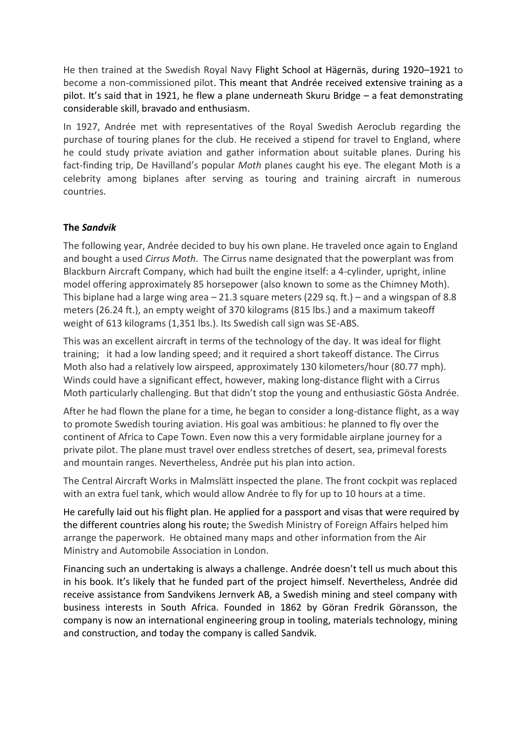He then trained at the Swedish Royal Navy Flight School at Hägernäs, during 1920–1921 to become a non-commissioned pilot. This meant that Andrée received extensive training as a pilot. It's said that in 1921, he flew a plane underneath Skuru Bridge – a feat demonstrating considerable skill, bravado and enthusiasm.

In 1927, Andrée met with representatives of the Royal Swedish Aeroclub regarding the purchase of touring planes for the club. He received a stipend for travel to England, where he could study private aviation and gather information about suitable planes. During his fact-finding trip, De Havilland's popular *Moth* planes caught his eye. The elegant Moth is a celebrity among biplanes after serving as touring and training aircraft in numerous countries.

## **The** *Sandvik*

The following year, Andrée decided to buy his own plane. He traveled once again to England and bought a used *Cirrus Moth*.The Cirrus name designated that the powerplant was from Blackburn Aircraft Company, which had built the engine itself: a 4-cylinder, upright, inline model offering approximately 85 horsepower (also known to some as the Chimney Moth). This biplane had a large wing area – 21.3 square meters (229 sq. ft.) – and a wingspan of 8.8 meters (26.24 ft.), an empty weight of 370 kilograms (815 lbs.) and a maximum takeoff weight of 613 kilograms (1,351 lbs.). Its Swedish call sign was SE-ABS.

This was an excellent aircraft in terms of the technology of the day. It was ideal for flight training; it had a low landing speed; and it required a short takeoff distance. The Cirrus Moth also had a relatively low airspeed, approximately 130 kilometers/hour (80.77 mph). Winds could have a significant effect, however, making long-distance flight with a Cirrus Moth particularly challenging. But that didn't stop the young and enthusiastic Gösta Andrée.

After he had flown the plane for a time, he began to consider a long-distance flight, as a way to promote Swedish touring aviation. His goal was ambitious: he planned to fly over the continent of Africa to Cape Town. Even now this a very formidable airplane journey for a private pilot. The plane must travel over endless stretches of desert, sea, primeval forests and mountain ranges. Nevertheless, Andrée put his plan into action.

The Central Aircraft Works in Malmslätt inspected the plane. The front cockpit was replaced with an extra fuel tank, which would allow Andrée to fly for up to 10 hours at a time.

He carefully laid out his flight plan. He applied for a passport and visas that were required by the different countries along his route; the Swedish Ministry of Foreign Affairs helped him arrange the paperwork. He obtained many maps and other information from the Air Ministry and Automobile Association in London.

Financing such an undertaking is always a challenge. Andrée doesn't tell us much about this in his book. It's likely that he funded part of the project himself. Nevertheless, Andrée did receive assistance from Sandvikens Jernverk AB, a Swedish mining and steel company with business interests in South Africa. Founded in 1862 by Göran Fredrik Göransson, the company is now an international engineering group in tooling, materials technology, mining and construction, and today the company is called Sandvik.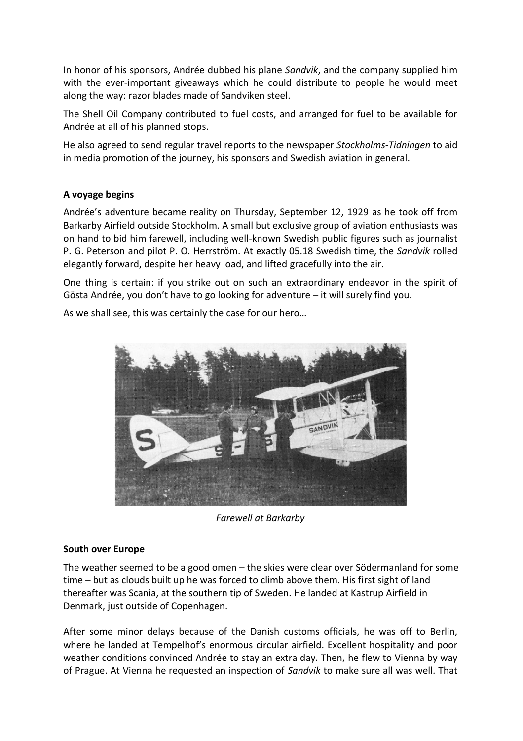In honor of his sponsors, Andrée dubbed his plane *Sandvik*, and the company supplied him with the ever-important giveaways which he could distribute to people he would meet along the way: razor blades made of Sandviken steel.

The Shell Oil Company contributed to fuel costs, and arranged for fuel to be available for Andrée at all of his planned stops.

He also agreed to send regular travel reports to the newspaper *Stockholms-Tidningen* to aid in media promotion of the journey, his sponsors and Swedish aviation in general.

## **A voyage begins**

Andrée's adventure became reality on Thursday, September 12, 1929 as he took off from Barkarby Airfield outside Stockholm. A small but exclusive group of aviation enthusiasts was on hand to bid him farewell, including well-known Swedish public figures such as journalist P. G. Peterson and pilot P. O. Herrström. At exactly 05.18 Swedish time, the *Sandvik* rolled elegantly forward, despite her heavy load, and lifted gracefully into the air.

One thing is certain: if you strike out on such an extraordinary endeavor in the spirit of Gösta Andrée, you don't have to go looking for adventure – it will surely find you.

As we shall see, this was certainly the case for our hero…



*Farewell at Barkarby*

#### **South over Europe**

The weather seemed to be a good omen – the skies were clear over Södermanland for some time – but as clouds built up he was forced to climb above them. His first sight of land thereafter was Scania, at the southern tip of Sweden. He landed at Kastrup Airfield in Denmark, just outside of Copenhagen.

After some minor delays because of the Danish customs officials, he was off to Berlin, where he landed at Tempelhof's enormous circular airfield. Excellent hospitality and poor weather conditions convinced Andrée to stay an extra day. Then, he flew to Vienna by way of Prague. At Vienna he requested an inspection of *Sandvik* to make sure all was well. That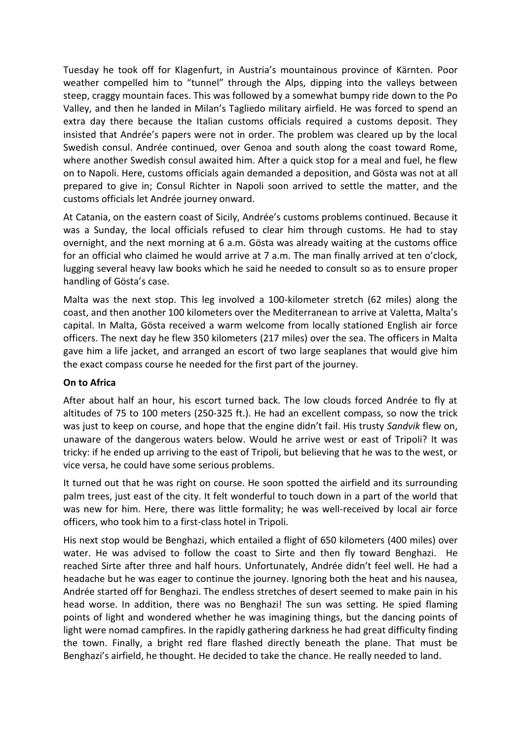Tuesday he took off for Klagenfurt, in Austria's mountainous province of Kärnten. Poor weather compelled him to "tunnel" through the Alps, dipping into the valleys between steep, craggy mountain faces. This was followed by a somewhat bumpy ride down to the Po Valley, and then he landed in Milan's Tagliedo military airfield. He was forced to spend an extra day there because the Italian customs officials required a customs deposit. They insisted that Andrée's papers were not in order. The problem was cleared up by the local Swedish consul. Andrée continued, over Genoa and south along the coast toward Rome, where another Swedish consul awaited him. After a quick stop for a meal and fuel, he flew on to Napoli. Here, customs officials again demanded a deposition, and Gösta was not at all prepared to give in; Consul Richter in Napoli soon arrived to settle the matter, and the customs officials let Andrée journey onward.

At Catania, on the eastern coast of Sicily, Andrée's customs problems continued. Because it was a Sunday, the local officials refused to clear him through customs. He had to stay overnight, and the next morning at 6 a.m. Gösta was already waiting at the customs office for an official who claimed he would arrive at 7 a.m. The man finally arrived at ten o'clock, lugging several heavy law books which he said he needed to consult so as to ensure proper handling of Gösta's case.

Malta was the next stop. This leg involved a 100-kilometer stretch (62 miles) along the coast, and then another 100 kilometers over the Mediterranean to arrive at Valetta, Malta's capital. In Malta, Gösta received a warm welcome from locally stationed English air force officers. The next day he flew 350 kilometers (217 miles) over the sea. The officers in Malta gave him a life jacket, and arranged an escort of two large seaplanes that would give him the exact compass course he needed for the first part of the journey.

#### **On to Africa**

After about half an hour, his escort turned back. The low clouds forced Andrée to fly at altitudes of 75 to 100 meters (250-325 ft.). He had an excellent compass, so now the trick was just to keep on course, and hope that the engine didn't fail. His trusty *Sandvik* flew on, unaware of the dangerous waters below. Would he arrive west or east of Tripoli? It was tricky: if he ended up arriving to the east of Tripoli, but believing that he was to the west, or vice versa, he could have some serious problems.

It turned out that he was right on course. He soon spotted the airfield and its surrounding palm trees, just east of the city. It felt wonderful to touch down in a part of the world that was new for him. Here, there was little formality; he was well-received by local air force officers, who took him to a first-class hotel in Tripoli.

His next stop would be Benghazi, which entailed a flight of 650 kilometers (400 miles) over water. He was advised to follow the coast to Sirte and then fly toward Benghazi. He reached Sirte after three and half hours. Unfortunately, Andrée didn't feel well. He had a headache but he was eager to continue the journey. Ignoring both the heat and his nausea, Andrée started off for Benghazi. The endless stretches of desert seemed to make pain in his head worse. In addition, there was no Benghazi! The sun was setting. He spied flaming points of light and wondered whether he was imagining things, but the dancing points of light were nomad campfires. In the rapidly gathering darkness he had great difficulty finding the town. Finally, a bright red flare flashed directly beneath the plane. That must be Benghazi's airfield, he thought. He decided to take the chance. He really needed to land.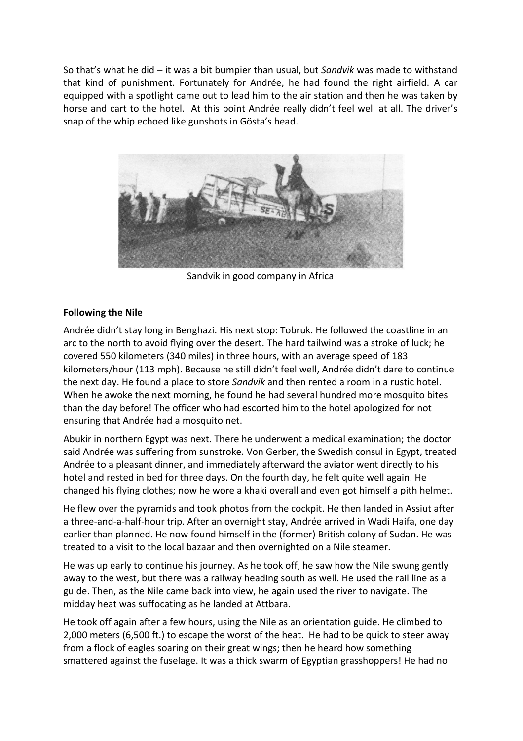So that's what he did – it was a bit bumpier than usual, but *Sandvik* was made to withstand that kind of punishment. Fortunately for Andrée, he had found the right airfield. A car equipped with a spotlight came out to lead him to the air station and then he was taken by horse and cart to the hotel. At this point Andrée really didn't feel well at all. The driver's snap of the whip echoed like gunshots in Gösta's head.



Sandvik in good company in Africa

# **Following the Nile**

Andrée didn't stay long in Benghazi. His next stop: Tobruk. He followed the coastline in an arc to the north to avoid flying over the desert. The hard tailwind was a stroke of luck; he covered 550 kilometers (340 miles) in three hours, with an average speed of 183 kilometers/hour (113 mph). Because he still didn't feel well, Andrée didn't dare to continue the next day. He found a place to store *Sandvik* and then rented a room in a rustic hotel. When he awoke the next morning, he found he had several hundred more mosquito bites than the day before! The officer who had escorted him to the hotel apologized for not ensuring that Andrée had a mosquito net.

Abukir in northern Egypt was next. There he underwent a medical examination; the doctor said Andrée was suffering from sunstroke. Von Gerber, the Swedish consul in Egypt, treated Andrée to a pleasant dinner, and immediately afterward the aviator went directly to his hotel and rested in bed for three days. On the fourth day, he felt quite well again. He changed his flying clothes; now he wore a khaki overall and even got himself a pith helmet.

He flew over the pyramids and took photos from the cockpit. He then landed in Assiut after a three-and-a-half-hour trip. After an overnight stay, Andrée arrived in Wadi Haifa, one day earlier than planned. He now found himself in the (former) British colony of Sudan. He was treated to a visit to the local bazaar and then overnighted on a Nile steamer.

He was up early to continue his journey. As he took off, he saw how the Nile swung gently away to the west, but there was a railway heading south as well. He used the rail line as a guide. Then, as the Nile came back into view, he again used the river to navigate. The midday heat was suffocating as he landed at Attbara.

He took off again after a few hours, using the Nile as an orientation guide. He climbed to 2,000 meters (6,500 ft.) to escape the worst of the heat. He had to be quick to steer away from a flock of eagles soaring on their great wings; then he heard how something smattered against the fuselage. It was a thick swarm of Egyptian grasshoppers! He had no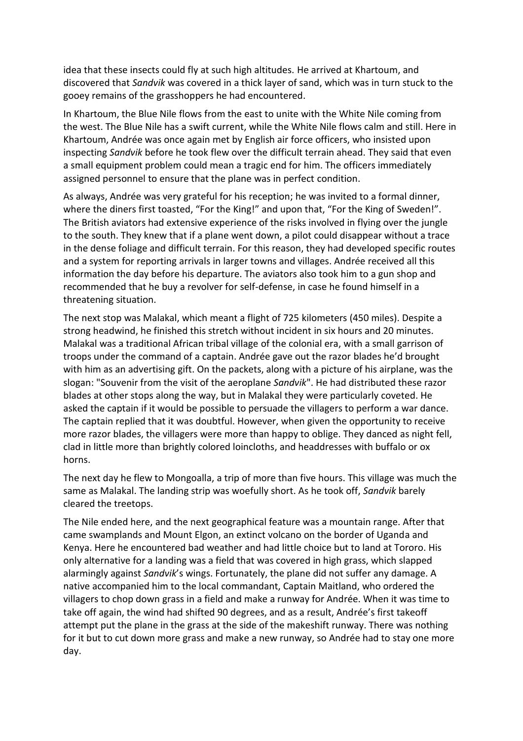idea that these insects could fly at such high altitudes. He arrived at Khartoum, and discovered that *Sandvik* was covered in a thick layer of sand, which was in turn stuck to the gooey remains of the grasshoppers he had encountered.

In Khartoum, the Blue Nile flows from the east to unite with the White Nile coming from the west. The Blue Nile has a swift current, while the White Nile flows calm and still. Here in Khartoum, Andrée was once again met by English air force officers, who insisted upon inspecting *Sandvik* before he took flew over the difficult terrain ahead. They said that even a small equipment problem could mean a tragic end for him. The officers immediately assigned personnel to ensure that the plane was in perfect condition.

As always, Andrée was very grateful for his reception; he was invited to a formal dinner, where the diners first toasted, "For the King!" and upon that, "For the King of Sweden!". The British aviators had extensive experience of the risks involved in flying over the jungle to the south. They knew that if a plane went down, a pilot could disappear without a trace in the dense foliage and difficult terrain. For this reason, they had developed specific routes and a system for reporting arrivals in larger towns and villages. Andrée received all this information the day before his departure. The aviators also took him to a gun shop and recommended that he buy a revolver for self-defense, in case he found himself in a threatening situation.

The next stop was Malakal, which meant a flight of 725 kilometers (450 miles). Despite a strong headwind, he finished this stretch without incident in six hours and 20 minutes. Malakal was a traditional African tribal village of the colonial era, with a small garrison of troops under the command of a captain. Andrée gave out the razor blades he'd brought with him as an advertising gift. On the packets, along with a picture of his airplane, was the slogan: "Souvenir from the visit of the aeroplane *Sandvik*". He had distributed these razor blades at other stops along the way, but in Malakal they were particularly coveted. He asked the captain if it would be possible to persuade the villagers to perform a war dance. The captain replied that it was doubtful. However, when given the opportunity to receive more razor blades, the villagers were more than happy to oblige. They danced as night fell, clad in little more than brightly colored loincloths, and headdresses with buffalo or ox horns.

The next day he flew to Mongoalla, a trip of more than five hours. This village was much the same as Malakal. The landing strip was woefully short. As he took off, *Sandvik* barely cleared the treetops.

The Nile ended here, and the next geographical feature was a mountain range. After that came swamplands and Mount Elgon, an extinct volcano on the border of Uganda and Kenya. Here he encountered bad weather and had little choice but to land at Tororo. His only alternative for a landing was a field that was covered in high grass, which slapped alarmingly against *Sandvik*'s wings. Fortunately, the plane did not suffer any damage. A native accompanied him to the local commandant, Captain Maitland, who ordered the villagers to chop down grass in a field and make a runway for Andrée. When it was time to take off again, the wind had shifted 90 degrees, and as a result, Andrée's first takeoff attempt put the plane in the grass at the side of the makeshift runway. There was nothing for it but to cut down more grass and make a new runway, so Andrée had to stay one more day.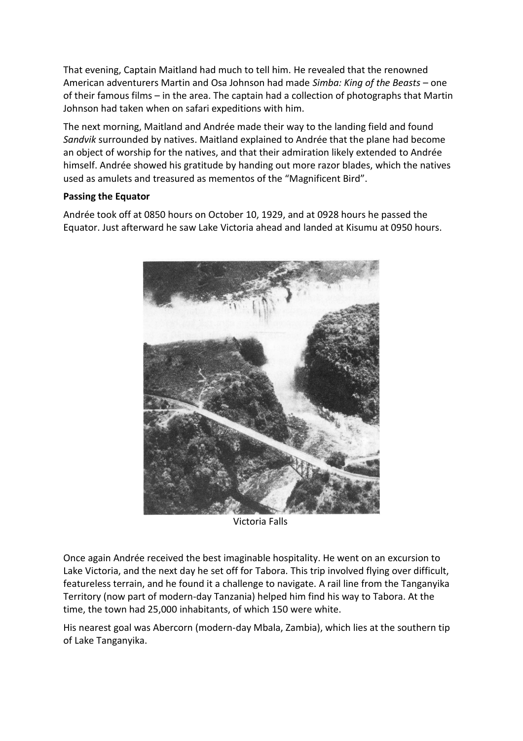That evening, Captain Maitland had much to tell him. He revealed that the renowned American adventurers Martin and Osa Johnson had made *Simba: King of the Beasts* – one of their famous films – in the area. The captain had a collection of photographs that Martin Johnson had taken when on safari expeditions with him.

The next morning, Maitland and Andrée made their way to the landing field and found *Sandvik* surrounded by natives. Maitland explained to Andrée that the plane had become an object of worship for the natives, and that their admiration likely extended to Andrée himself. Andrée showed his gratitude by handing out more razor blades, which the natives used as amulets and treasured as mementos of the "Magnificent Bird".

## **Passing the Equator**

Andrée took off at 0850 hours on October 10, 1929, and at 0928 hours he passed the Equator. Just afterward he saw Lake Victoria ahead and landed at Kisumu at 0950 hours.



Victoria Falls

Once again Andrée received the best imaginable hospitality. He went on an excursion to Lake Victoria, and the next day he set off for Tabora. This trip involved flying over difficult, featureless terrain, and he found it a challenge to navigate. A rail line from the Tanganyika Territory (now part of modern-day Tanzania) helped him find his way to Tabora. At the time, the town had 25,000 inhabitants, of which 150 were white.

His nearest goal was Abercorn (modern-day Mbala, Zambia), which lies at the southern tip of Lake Tanganyika.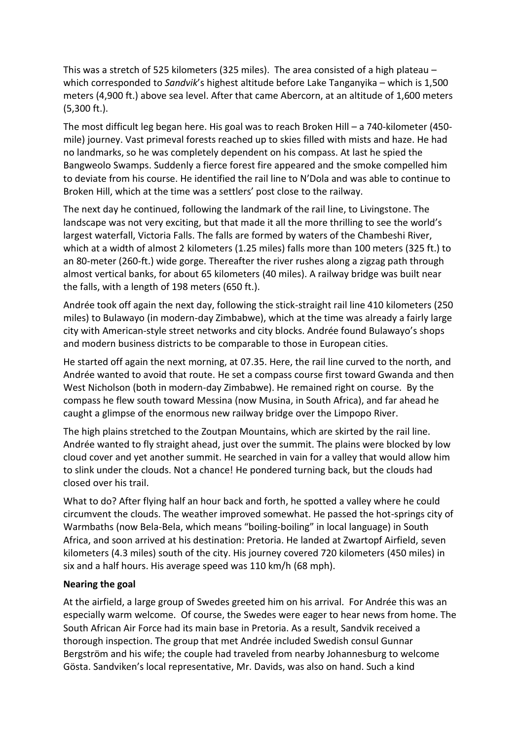This was a stretch of 525 kilometers (325 miles). The area consisted of a high plateau – which corresponded to *Sandvik*'s highest altitude before Lake Tanganyika – which is 1,500 meters (4,900 ft.) above sea level. After that came Abercorn, at an altitude of 1,600 meters (5,300 ft.).

The most difficult leg began here. His goal was to reach Broken Hill – a 740-kilometer (450 mile) journey. Vast primeval forests reached up to skies filled with mists and haze. He had no landmarks, so he was completely dependent on his compass. At last he spied the Bangweolo Swamps. Suddenly a fierce forest fire appeared and the smoke compelled him to deviate from his course. He identified the rail line to N'Dola and was able to continue to Broken Hill, which at the time was a settlers' post close to the railway.

The next day he continued, following the landmark of the rail line, to Livingstone. The landscape was not very exciting, but that made it all the more thrilling to see the world's largest waterfall, Victoria Falls. The falls are formed by waters of the Chambeshi River, which at a width of almost 2 kilometers (1.25 miles) falls more than 100 meters (325 ft.) to an 80-meter (260-ft.) wide gorge. Thereafter the river rushes along a zigzag path through almost vertical banks, for about 65 kilometers (40 miles). A railway bridge was built near the falls, with a length of 198 meters (650 ft.).

Andrée took off again the next day, following the stick-straight rail line 410 kilometers (250 miles) to Bulawayo (in modern-day Zimbabwe), which at the time was already a fairly large city with American-style street networks and city blocks. Andrée found Bulawayo's shops and modern business districts to be comparable to those in European cities.

He started off again the next morning, at 07.35. Here, the rail line curved to the north, and Andrée wanted to avoid that route. He set a compass course first toward Gwanda and then West Nicholson (both in modern-day Zimbabwe). He remained right on course. By the compass he flew south toward Messina (now Musina, in South Africa), and far ahead he caught a glimpse of the enormous new railway bridge over the Limpopo River.

The high plains stretched to the Zoutpan Mountains, which are skirted by the rail line. Andrée wanted to fly straight ahead, just over the summit. The plains were blocked by low cloud cover and yet another summit. He searched in vain for a valley that would allow him to slink under the clouds. Not a chance! He pondered turning back, but the clouds had closed over his trail.

What to do? After flying half an hour back and forth, he spotted a valley where he could circumvent the clouds. The weather improved somewhat. He passed the hot-springs city of Warmbaths (now Bela-Bela, which means "boiling-boiling" in local language) in South Africa, and soon arrived at his destination: Pretoria. He landed at Zwartopf Airfield, seven kilometers (4.3 miles) south of the city. His journey covered 720 kilometers (450 miles) in six and a half hours. His average speed was 110 km/h (68 mph).

# **Nearing the goal**

At the airfield, a large group of Swedes greeted him on his arrival. For Andrée this was an especially warm welcome. Of course, the Swedes were eager to hear news from home. The South African Air Force had its main base in Pretoria. As a result, Sandvik received a thorough inspection. The group that met Andrée included Swedish consul Gunnar Bergström and his wife; the couple had traveled from nearby Johannesburg to welcome Gösta. Sandviken's local representative, Mr. Davids, was also on hand. Such a kind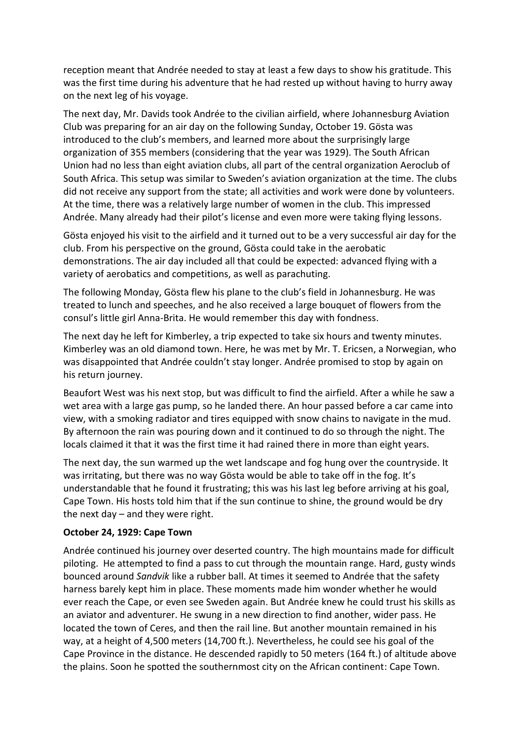reception meant that Andrée needed to stay at least a few days to show his gratitude. This was the first time during his adventure that he had rested up without having to hurry away on the next leg of his voyage.

The next day, Mr. Davids took Andrée to the civilian airfield, where Johannesburg Aviation Club was preparing for an air day on the following Sunday, October 19. Gösta was introduced to the club's members, and learned more about the surprisingly large organization of 355 members (considering that the year was 1929). The South African Union had no less than eight aviation clubs, all part of the central organization Aeroclub of South Africa. This setup was similar to Sweden's aviation organization at the time. The clubs did not receive any support from the state; all activities and work were done by volunteers. At the time, there was a relatively large number of women in the club. This impressed Andrée. Many already had their pilot's license and even more were taking flying lessons.

Gösta enjoyed his visit to the airfield and it turned out to be a very successful air day for the club. From his perspective on the ground, Gösta could take in the aerobatic demonstrations. The air day included all that could be expected: advanced flying with a variety of aerobatics and competitions, as well as parachuting.

The following Monday, Gösta flew his plane to the club's field in Johannesburg. He was treated to lunch and speeches, and he also received a large bouquet of flowers from the consul's little girl Anna-Brita. He would remember this day with fondness.

The next day he left for Kimberley, a trip expected to take six hours and twenty minutes. Kimberley was an old diamond town. Here, he was met by Mr. T. Ericsen, a Norwegian, who was disappointed that Andrée couldn't stay longer. Andrée promised to stop by again on his return journey.

Beaufort West was his next stop, but was difficult to find the airfield. After a while he saw a wet area with a large gas pump, so he landed there. An hour passed before a car came into view, with a smoking radiator and tires equipped with snow chains to navigate in the mud. By afternoon the rain was pouring down and it continued to do so through the night. The locals claimed it that it was the first time it had rained there in more than eight years.

The next day, the sun warmed up the wet landscape and fog hung over the countryside. It was irritating, but there was no way Gösta would be able to take off in the fog. It's understandable that he found it frustrating; this was his last leg before arriving at his goal, Cape Town. His hosts told him that if the sun continue to shine, the ground would be dry the next day – and they were right.

#### **October 24, 1929: Cape Town**

Andrée continued his journey over deserted country. The high mountains made for difficult piloting. He attempted to find a pass to cut through the mountain range. Hard, gusty winds bounced around *Sandvik* like a rubber ball. At times it seemed to Andrée that the safety harness barely kept him in place. These moments made him wonder whether he would ever reach the Cape, or even see Sweden again. But Andrée knew he could trust his skills as an aviator and adventurer. He swung in a new direction to find another, wider pass. He located the town of Ceres, and then the rail line. But another mountain remained in his way, at a height of 4,500 meters (14,700 ft.). Nevertheless, he could see his goal of the Cape Province in the distance. He descended rapidly to 50 meters (164 ft.) of altitude above the plains. Soon he spotted the southernmost city on the African continent: Cape Town.